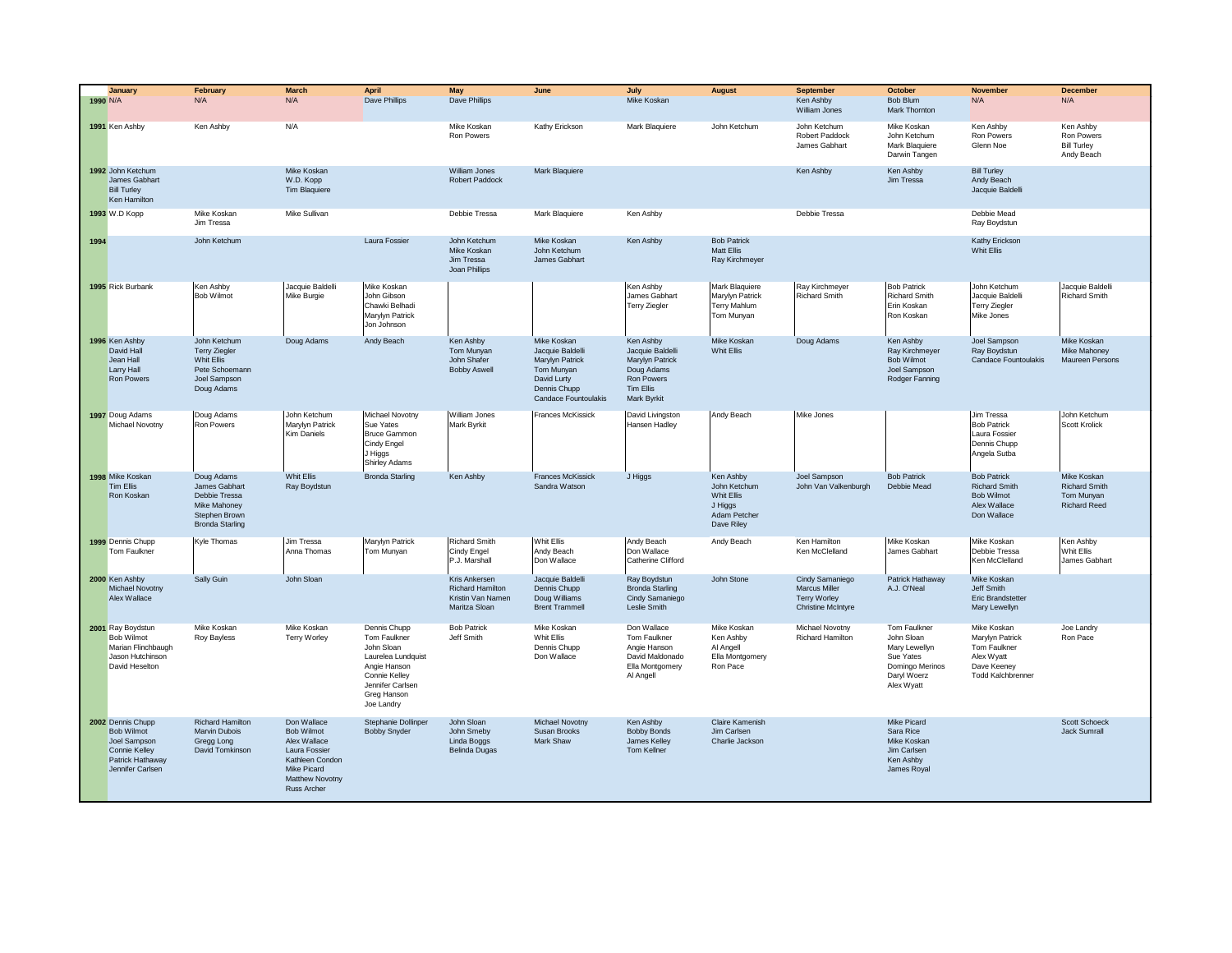|      | January<br>1990 N/A                                                                                      | February<br>N/A                                                                                         | <b>March</b><br>N/A                                                                                                                   | April<br>Dave Phillips                                                                                                                             | May<br>Dave Phillips                                                           | June                                                                                                                    | July<br>Mike Koskan                                                                                             | <b>August</b>                                                                    | <b>September</b><br>Ken Ashby<br>William Jones                                              | <b>October</b><br>Bob Blum<br>Mark Thornton                                                                     | <b>November</b><br>N/A                                                                                  | <b>December</b><br>N/A                                                   |
|------|----------------------------------------------------------------------------------------------------------|---------------------------------------------------------------------------------------------------------|---------------------------------------------------------------------------------------------------------------------------------------|----------------------------------------------------------------------------------------------------------------------------------------------------|--------------------------------------------------------------------------------|-------------------------------------------------------------------------------------------------------------------------|-----------------------------------------------------------------------------------------------------------------|----------------------------------------------------------------------------------|---------------------------------------------------------------------------------------------|-----------------------------------------------------------------------------------------------------------------|---------------------------------------------------------------------------------------------------------|--------------------------------------------------------------------------|
|      | 1991 Ken Ashby                                                                                           | Ken Ashby                                                                                               | N/A                                                                                                                                   |                                                                                                                                                    | Mike Koskan<br>Ron Powers                                                      | Kathy Erickson                                                                                                          | Mark Blaquiere                                                                                                  | John Ketchum                                                                     | John Ketchum<br>Robert Paddock<br>James Gabhart                                             | Mike Koskan<br>John Ketchum<br><b>Mark Blaquiere</b><br>Darwin Tangen                                           | Ken Ashby<br>Ron Powers<br>Glenn Noe                                                                    | Ken Ashby<br>Ron Powers<br><b>Bill Turley</b><br>Andy Beach              |
|      | 1992 John Ketchum<br>James Gabhart<br><b>Bill Turley</b><br>Ken Hamilton                                 |                                                                                                         | Mike Koskan<br>W.D. Kopp<br><b>Tim Blaquiere</b>                                                                                      |                                                                                                                                                    | William Jones<br>Robert Paddock                                                | <b>Mark Blaquiere</b>                                                                                                   |                                                                                                                 |                                                                                  | Ken Ashby                                                                                   | Ken Ashby<br>Jim Tressa                                                                                         | <b>Bill Turley</b><br>Andy Beach<br>Jacquie Baldelli                                                    |                                                                          |
|      | 1993 W.D Kopp                                                                                            | Mike Koskan<br>Jim Tressa                                                                               | Mike Sullivan                                                                                                                         |                                                                                                                                                    | Debbie Tressa                                                                  | Mark Blaquiere                                                                                                          | Ken Ashby                                                                                                       |                                                                                  | Debbie Tressa                                                                               |                                                                                                                 | Debbie Mead<br>Ray Boydstun                                                                             |                                                                          |
| 1994 |                                                                                                          | John Ketchum                                                                                            |                                                                                                                                       | Laura Fossier                                                                                                                                      | John Ketchum<br>Mike Koskan<br>Jim Tressa<br>Joan Phillips                     | Mike Koskan<br>John Ketchum<br>James Gabhart                                                                            | Ken Ashby                                                                                                       | <b>Bob Patrick</b><br><b>Matt Ellis</b><br>Ray Kirchmeyer                        |                                                                                             |                                                                                                                 | Kathy Erickson<br>Whit Ellis                                                                            |                                                                          |
|      | 1995 Rick Burbank                                                                                        | Ken Ashby<br><b>Bob Wilmot</b>                                                                          | Jacquie Baldelli<br>Mike Burgie                                                                                                       | Mike Koskan<br>John Gibson<br>Chawki Belhadi<br>Marylyn Patrick<br>Jon Johnson                                                                     |                                                                                |                                                                                                                         | Ken Ashby<br>James Gabhart<br>Terry Ziegler                                                                     | Mark Blaquiere<br>Marylyn Patrick<br><b>Terry Mahlum</b><br>Tom Munyan           | Ray Kirchmeyer<br>Richard Smith                                                             | <b>Bob Patrick</b><br><b>Richard Smith</b><br>Erin Koskan<br>Ron Koskan                                         | John Ketchum<br>Jacquie Baldelli<br><b>Terry Ziegler</b><br>Mike Jones                                  | Jacquie Baldelli<br><b>Richard Smith</b>                                 |
|      | 1996 Ken Ashby<br>David Hall<br>Jean Hall<br>Larry Hall<br><b>Ron Powers</b>                             | John Ketchum<br><b>Terry Ziegler</b><br>Whit Ellis<br>Pete Schoemann<br>Joel Sampson<br>Doug Adams      | Doug Adams                                                                                                                            | Andy Beach                                                                                                                                         | Ken Ashby<br>Tom Munvan<br>John Shafer<br><b>Bobby Aswell</b>                  | Mike Koskan<br>Jacquie Baldelli<br>Marylyn Patrick<br>Tom Munyan<br>David Lurty<br>Dennis Chupp<br>Candace Fountoulakis | Ken Ashby<br>Jacquie Baldelli<br>Marylyn Patrick<br>Doug Adams<br><b>Ron Powers</b><br>Tim Ellis<br>Mark Byrkit | Mike Koskan<br>Whit Ellis                                                        | Doug Adams                                                                                  | Ken Ashby<br>Rav Kirchmever<br><b>Bob Wilmot</b><br>Joel Sampson<br>Rodger Fanning                              | Joel Sampson<br>Rav Bovdstun<br>Candace Fountoulakis                                                    | Mike Koskan<br>Mike Mahonev<br>Maureen Persons                           |
|      | 1997 Doug Adams<br>Michael Novotny                                                                       | Doug Adams<br>Ron Powers                                                                                | John Ketchum<br>Marylyn Patrick<br>Kim Daniels                                                                                        | Michael Novotny<br>Sue Yates<br><b>Bruce Gammon</b><br>Cindy Engel<br>J Higgs<br>Shirley Adams                                                     | William Jones<br>Mark Byrkit                                                   | Frances McKissick                                                                                                       | David Livingston<br>Hansen Hadley                                                                               | Andy Beach                                                                       | Mike Jones                                                                                  |                                                                                                                 | Jim Tressa<br><b>Bob Patrick</b><br>Laura Fossier<br>Dennis Chupp<br>Angela Sutba                       | John Ketchum<br>Scott Krolick                                            |
|      | 1998 Mike Koskan<br>Tim Ellis<br>Ron Koskan                                                              | Doug Adams<br>James Gabhart<br>Debbie Tressa<br>Mike Mahoney<br>Stephen Brown<br><b>Bronda Starling</b> | Whit Ellis<br>Ray Boydstun                                                                                                            | <b>Bronda Starling</b>                                                                                                                             | Ken Ashby                                                                      | <b>Frances McKissick</b><br>Sandra Watson                                                                               | J Higgs                                                                                                         | Ken Ashby<br>John Ketchum<br>Whit Ellis<br>J Higgs<br>Adam Petcher<br>Dave Riley | Joel Sampson<br>John Van Valkenburgh                                                        | <b>Bob Patrick</b><br>Debbie Mead                                                                               | <b>Bob Patrick</b><br><b>Richard Smith</b><br><b>Bob Wilmot</b><br>Alex Wallace<br>Don Wallace          | Mike Koskan<br><b>Richard Smith</b><br>Tom Munyan<br><b>Richard Reed</b> |
|      | 1999 Dennis Chupp<br>Tom Faulkner                                                                        | Kyle Thomas                                                                                             | Jim Tressa<br>Anna Thomas                                                                                                             | Marylyn Patrick<br>Tom Munyan                                                                                                                      | <b>Richard Smith</b><br>Cindy Engel<br>P.J. Marshall                           | Whit Ellis<br>Andy Beach<br>Don Wallace                                                                                 | Andy Beach<br>Don Wallace<br>Catherine Clifford                                                                 | Andy Beach                                                                       | Ken Hamilton<br>Ken McClelland                                                              | Mike Koskan<br>James Gabhart                                                                                    | Mike Koskan<br>Debbie Tressa<br>Ken McClelland                                                          | Ken Ashby<br>Whit Ellis<br>James Gabhart                                 |
|      | 2000 Ken Ashby<br>Michael Novotny<br>Alex Wallace                                                        | Sally Guin                                                                                              | John Sloan                                                                                                                            |                                                                                                                                                    | Kris Ankersen<br><b>Richard Hamilton</b><br>Kristin Van Namen<br>Maritza Sloan | Jacquie Baldelli<br>Dennis Chupp<br>Doug Williams<br><b>Brent Trammell</b>                                              | Ray Boydstun<br><b>Bronda Starling</b><br>Cindy Samaniego<br>Leslie Smith                                       | John Stone                                                                       | Cindy Samaniego<br><b>Marcus Miller</b><br><b>Terry Worley</b><br><b>Christine McIntyre</b> | Patrick Hathaway<br>A.J. O'Neal                                                                                 | Mike Koskan<br>Jeff Smith<br>Eric Brandstetter<br>Mary Lewellyn                                         |                                                                          |
|      | 2001 Ray Boydstun<br>Bob Wilmot<br>Marian Flinchbaugh<br>Jason Hutchinson<br>David Heselton              | Mike Koskan<br>Roy Bayless                                                                              | Mike Koskan<br>Terry Worley                                                                                                           | Dennis Chupp<br>Tom Faulkner<br>John Sloan<br>Laurelea Lundquist<br>Angie Hanson<br>Connie Kelley<br>Jennifer Carlsen<br>Greg Hanson<br>Joe Landry | <b>Bob Patrick</b><br>Jeff Smith                                               | Mike Koskan<br>Whit Ellis<br>Dennis Chupp<br>Don Wallace                                                                | Don Wallace<br>Tom Faulkner<br>Angie Hanson<br>David Maldonado<br>Ella Montgomery<br>Al Angell                  | Mike Koskan<br>Ken Ashby<br>Al Angell<br>Ella Montgomery<br>Ron Pace             | Michael Novotny<br>Richard Hamilton                                                         | <b>Tom Faulkner</b><br>John Sloan<br>Mary Lewellyn<br>Sue Yates<br>Domingo Merinos<br>Daryl Woerz<br>Alex Wyatt | Mike Koskan<br>Marylyn Patrick<br>Tom Faulkner<br>Alex Wyatt<br>Dave Keeney<br><b>Todd Kalchbrenner</b> | Joe Landrv<br>Ron Pace                                                   |
|      | 2002 Dennis Chupp<br>Bob Wilmot<br>Joel Sampson<br>Connie Kelley<br>Patrick Hathaway<br>Jennifer Carlsen | Richard Hamilton<br>Marvin Dubois<br>Gregg Long<br>David Tomkinson                                      | Don Wallace<br>Bob Wilmot<br>Alex Wallace<br>Laura Fossier<br>Kathleen Condon<br>Mike Picard<br>Matthew Novotny<br><b>Russ Archer</b> | Stephanie Dollinper<br><b>Bobby Snyder</b>                                                                                                         | John Sloan<br>John Smeby<br>Linda Boggs<br><b>Belinda Dugas</b>                | Michael Novotny<br>Susan Brooks<br>Mark Shaw                                                                            | Ken Ashby<br><b>Bobby Bonds</b><br>James Kelley<br>Tom Kellner                                                  | Claire Kamenish<br>Jim Carlsen<br>Charlie Jackson                                |                                                                                             | Mike Picard<br>Sara Rice<br>Mike Koskan<br>Jim Carlsen<br>Ken Ashby<br>James Royal                              |                                                                                                         | Scott Schoeck<br>Jack Sumrall                                            |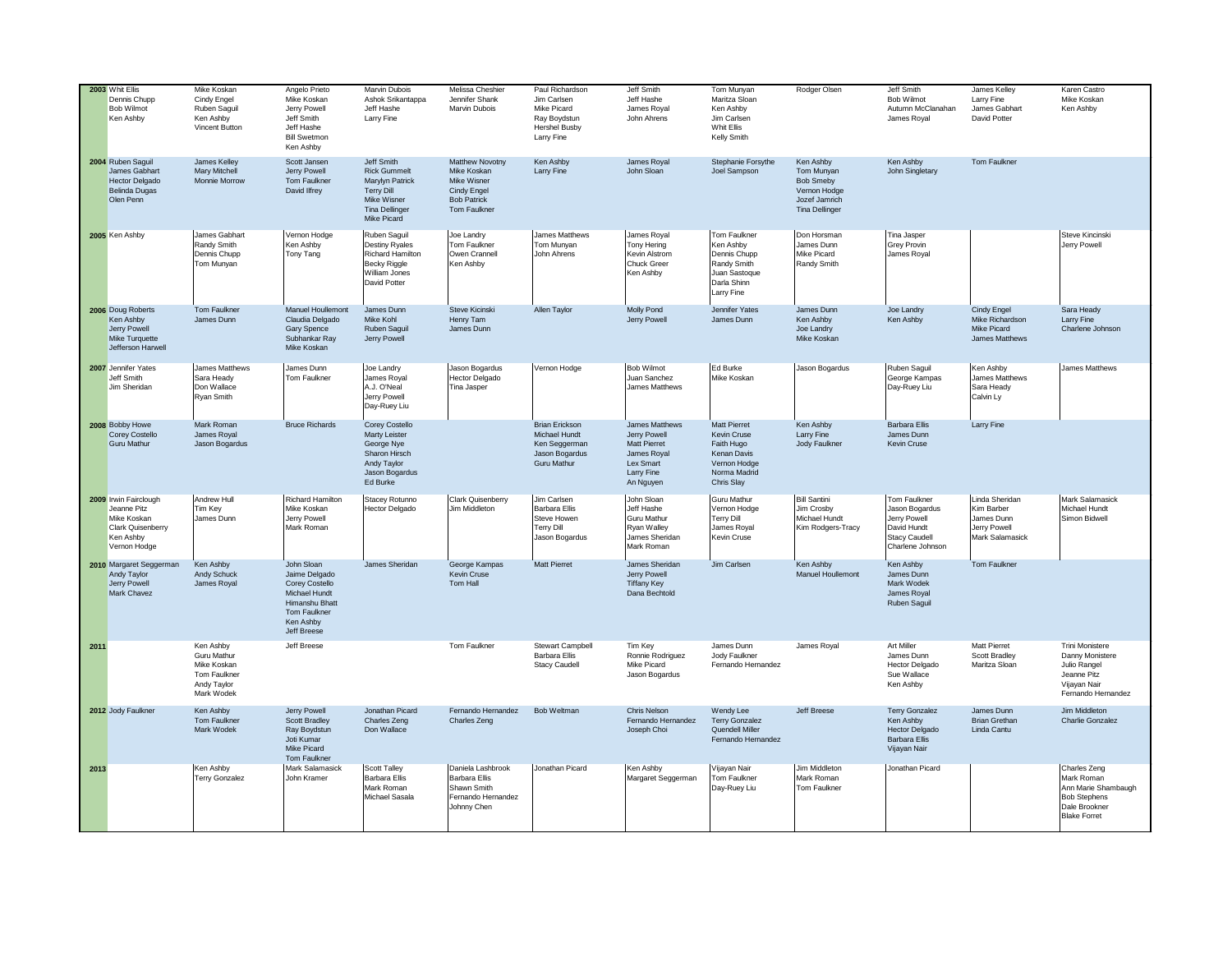|      | 2003 Whit Ellis<br>Dennis Chupp<br><b>Bob Wilmot</b><br>Ken Ashby                                            | Mike Koskan<br>Cindy Engel<br>Ruben Saguil<br>Ken Ashby<br>Vincent Button            | Angelo Prieto<br>Mike Koskan<br>Jerry Powell<br>Jeff Smith<br>Jeff Hashe<br><b>Bill Swetmon</b><br>Ken Ashby                 | <b>Marvin Dubois</b><br>Ashok Srikantappa<br>Jeff Hashe<br>Larry Fine                                                     | Melissa Cheshier<br>Jennifer Shank<br>Marvin Dubois                                                | Paul Richardson<br>Jim Carlsen<br>Mike Picard<br>Ray Boydstun<br><b>Hershel Busby</b><br>Larry Fine | Jeff Smith<br>Jeff Hashe<br>James Royal<br>John Ahrens                                                       | Tom Munyan<br>Maritza Sloan<br>Ken Ashby<br>Jim Carlsen<br>Whit Ellis<br>Kelly Smith                          | Rodger Olsen                                                                                          | Jeff Smith<br><b>Bob Wilmot</b><br>Autumn McClanahan<br>James Royal                                 | James Kelley<br>Larry Fine<br>James Gabhart<br>David Potter                   | Karen Castro<br>Mike Koskan<br>Ken Ashby                                                                         |
|------|--------------------------------------------------------------------------------------------------------------|--------------------------------------------------------------------------------------|------------------------------------------------------------------------------------------------------------------------------|---------------------------------------------------------------------------------------------------------------------------|----------------------------------------------------------------------------------------------------|-----------------------------------------------------------------------------------------------------|--------------------------------------------------------------------------------------------------------------|---------------------------------------------------------------------------------------------------------------|-------------------------------------------------------------------------------------------------------|-----------------------------------------------------------------------------------------------------|-------------------------------------------------------------------------------|------------------------------------------------------------------------------------------------------------------|
|      | 2004 Ruben Saguil<br>James Gabhart<br><b>Hector Delgado</b><br><b>Belinda Dugas</b><br>Olen Penn             | James Kelley<br>Mary Mitchell<br>Monnie Morrow                                       | Scott Jansen<br>Jerry Powell<br>Tom Faulkner<br>David Ilfrey                                                                 | Jeff Smith<br><b>Rick Gummelt</b><br>Marylyn Patrick<br><b>Terry Dill</b><br>Mike Wisner<br>Tina Dellinger<br>Mike Picard | Matthew Novotny<br>Mike Koskan<br>Mike Wisner<br>Cindy Engel<br><b>Bob Patrick</b><br>Tom Faulkner | Ken Ashby<br>Larry Fine                                                                             | James Royal<br>John Sloan                                                                                    | Stephanie Forsythe<br>Joel Sampson                                                                            | Ken Ashby<br>Tom Munyan<br><b>Bob Smeby</b><br>Vernon Hodge<br>Jozef Jamrich<br><b>Tina Dellinger</b> | Ken Ashby<br>John Singletary                                                                        | Tom Faulkner                                                                  |                                                                                                                  |
|      | 2005 Ken Ashby                                                                                               | James Gabhart<br>Randy Smith<br>Dennis Chupp<br>Tom Munyan                           | Vernon Hodge<br>Ken Ashby<br>Tony Tang                                                                                       | Ruben Saquil<br>Destiny Ryales<br>Richard Hamilton<br>Becky Riggle<br>William Jones<br>David Potter                       | Joe Landrv<br>Tom Faulkner<br>Owen Crannell<br>Ken Ashby                                           | James Matthews<br>Tom Munyan<br>John Ahrens                                                         | James Royal<br>Tony Hering<br>Kevin Alstrom<br>Chuck Greer<br>Ken Ashby                                      | Tom Faulkner<br>Ken Ashby<br>Dennis Chupp<br>Randy Smith<br>Juan Sastoque<br>Darla Shinn<br>Larry Fine        | Don Horsman<br>James Dunn<br>Mike Picard<br>Randy Smith                                               | Tina Jasper<br>Grey Provin<br>James Royal                                                           |                                                                               | Steve Kincinski<br>Jerry Powell                                                                                  |
|      | 2006 Doug Roberts<br>Ken Ashby<br>Jerry Powell<br>Mike Turquette<br>Jefferson Harwell                        | Tom Faulkner<br>James Dunn                                                           | Manuel Houllemont<br>Claudia Delgado<br>Gary Spence<br>Subhankar Ray<br>Mike Koskan                                          | James Dunn<br>Mike Kohl<br>Ruben Saguil<br>Jerry Powell                                                                   | Steve Kicinski<br>Henry Tam<br>James Dunn                                                          | Allen Taylor                                                                                        | Molly Pond<br>Jerry Powell                                                                                   | Jennifer Yates<br>James Dunn                                                                                  | James Dunn<br>Ken Ashby<br>Joe Landry<br>Mike Koskan                                                  | Joe Landry<br>Ken Ashby                                                                             | Cindy Engel<br>Mike Richardson<br>Mike Picard<br>James Matthews               | Sara Heady<br>Larry Fine<br>Charlene Johnson                                                                     |
|      | 2007 Jennifer Yates<br>Jeff Smith<br>Jim Sheridan                                                            | James Matthews<br>Sara Heady<br>Don Wallace<br>Ryan Smith                            | James Dunn<br>Tom Faulkner                                                                                                   | Joe Landry<br>James Royal<br>A.J. O'Neal<br>Jerry Powell<br>Day-Ruey Liu                                                  | Jason Bogardus<br>Hector Delgado<br>Tina Jasper                                                    | Vernon Hodge                                                                                        | <b>Bob Wilmot</b><br>Juan Sanchez<br>James Matthews                                                          | Ed Burke<br>Mike Koskan                                                                                       | Jason Bogardus                                                                                        | Ruben Saguil<br>George Kampas<br>Day-Ruey Liu                                                       | Ken Ashby<br>James Matthews<br>Sara Heady<br>Calvin Ly                        | James Matthews                                                                                                   |
|      | 2008 Bobby Howe<br><b>Corey Costello</b><br><b>Guru Mathur</b>                                               | Mark Roman<br>James Royal<br>Jason Bogardus                                          | <b>Bruce Richards</b>                                                                                                        | Corey Costello<br><b>Marty Leister</b><br>George Nye<br>Sharon Hirsch<br>Andy Taylor<br>Jason Bogardus<br>Ed Burke        |                                                                                                    | <b>Brian Erickson</b><br>Michael Hundt<br>Ken Seggerman<br>Jason Bogardus<br>Guru Mathur            | <b>James Matthews</b><br>Jerry Powell<br>Matt Pierret<br>James Royal<br>Lex Smart<br>Larry Fine<br>An Nguyen | <b>Matt Pierret</b><br>Kevin Cruse<br>Faith Hugo<br>Kenan Davis<br>Vernon Hodge<br>Norma Madrid<br>Chris Slay | Ken Ashby<br>Larry Fine<br>Jody Faulkner                                                              | Barbara Ellis<br>James Dunn<br>Kevin Cruse                                                          | Larry Fine                                                                    |                                                                                                                  |
|      | 2009 Irwin Fairclough<br>Jeanne Pitz<br>Mike Koskan<br><b>Clark Quisenberry</b><br>Ken Ashby<br>Vernon Hodge | Andrew Hull<br>Tim Key<br>James Dunn                                                 | Richard Hamilton<br>Mike Koskan<br>Jerry Powell<br>Mark Roman                                                                | Stacey Rotunno<br><b>Hector Delgado</b>                                                                                   | Clark Quisenberry<br>Jim Middleton                                                                 | Jim Carlsen<br><b>Barbara Ellis</b><br>Steve Howen<br><b>Terry Dill</b><br>Jason Bogardus           | John Sloan<br>Jeff Hashe<br><b>Guru Mathur</b><br>Ryan Walley<br>James Sheridan<br>Mark Roman                | <b>Guru Mathur</b><br>Vernon Hodge<br><b>Terry Dill</b><br>James Royal<br>Kevin Cruse                         | <b>Bill Santini</b><br>Jim Crosby<br>Michael Hundt<br>Kim Rodgers-Tracy                               | Tom Faulkner<br>Jason Bogardus<br>Jerry Powell<br>David Hundt<br>Stacy Caudell<br>Charlene Johnson  | Linda Sheridan<br>Kim Barber<br>James Dunn<br>Jerry Powell<br>Mark Salamasick | Mark Salamasick<br>Michael Hundt<br>Simon Bidwell                                                                |
|      | 2010 Margaret Seggerman<br>Andy Taylor<br>Jerry Powell<br>Mark Chavez                                        | Ken Ashby<br>Andy Schuck<br>James Royal                                              | John Sloan<br>Jaime Delgado<br>Corey Costello<br>Michael Hundt<br>Himanshu Bhatt<br>Tom Faulkner<br>Ken Ashby<br>Jeff Breese | James Sheridan                                                                                                            | George Kampas<br><b>Kevin Cruse</b><br>Tom Hall                                                    | <b>Matt Pierret</b>                                                                                 | James Sheridan<br>Jerry Powell<br><b>Tiffany Key</b><br>Dana Bechtold                                        | Jim Carlsen                                                                                                   | Ken Ashby<br>Manuel Houllemont                                                                        | Ken Ashby<br>James Dunn<br>Mark Wodek<br>James Royal<br>Ruben Saguil                                | Tom Faulkner                                                                  |                                                                                                                  |
| 2011 |                                                                                                              | Ken Ashby<br>Guru Mathur<br>Mike Koskan<br>Tom Faulkner<br>Andy Taylor<br>Mark Wodek | Jeff Breese                                                                                                                  |                                                                                                                           | Tom Faulkner                                                                                       | Stewart Campbell<br><b>Barbara Ellis</b><br><b>Stacy Caudell</b>                                    | Tim Key<br>Ronnie Rodriguez<br>Mike Picard<br>Jason Bogardus                                                 | James Dunn<br>Jody Faulkner<br>Fernando Hernandez                                                             | James Royal                                                                                           | Art Miller<br>James Dunn<br>Hector Delgado<br>Sue Wallace<br>Ken Ashby                              | <b>Matt Pierret</b><br>Scott Bradley<br>Maritza Sloan                         | Trini Monistere<br>Danny Monistere<br>Julio Rangel<br>Jeanne Pitz<br>Vijayan Nair<br>Fernando Hernandez          |
|      | 2012 Jody Faulkner                                                                                           | Ken Ashby<br>Tom Faulkner<br>Mark Wodek                                              | Jerry Powell<br>Scott Bradley<br>Ray Boydstun<br>Joti Kumar<br>Mike Picard<br>Tom Faulkner                                   | Jonathan Picard<br>Charles Zeng<br>Don Wallace                                                                            | Fernando Hernandez<br>Charles Zeng                                                                 | Bob Weltman                                                                                         | Chris Nelson<br>Fernando Hernandez<br>Joseph Choi                                                            | Wendy Lee<br><b>Terry Gonzalez</b><br>Quendell Miller<br>Fernando Hernandez                                   | Jeff Breese                                                                                           | <b>Terry Gonzalez</b><br>Ken Ashby<br><b>Hector Delgado</b><br><b>Barbara Ellis</b><br>Vijayan Nair | James Dunn<br><b>Brian Grethan</b><br>Linda Cantu                             | Jim Middleton<br>Charlie Gonzalez                                                                                |
| 2013 |                                                                                                              | Ken Ashby<br><b>Terry Gonzalez</b>                                                   | Mark Salamasick<br>John Kramer                                                                                               | Scott Talley<br>Barbara Ellis<br>Mark Roman<br>Michael Sasala                                                             | Daniela Lashbrook<br><b>Barbara Ellis</b><br>Shawn Smith<br>Fernando Hernandez<br>Johnny Chen      | Jonathan Picard                                                                                     | Ken Ashby<br>Margaret Seggerman                                                                              | Vijayan Nair<br>Tom Faulkner<br>Day-Ruey Liu                                                                  | Jim Middleton<br>Mark Roman<br>Tom Faulkner                                                           | Jonathan Picard                                                                                     |                                                                               | Charles Zeng<br>Mark Roman<br>Ann Marie Shambaugh<br><b>Bob Stephens</b><br>Dale Brookner<br><b>Blake Forret</b> |